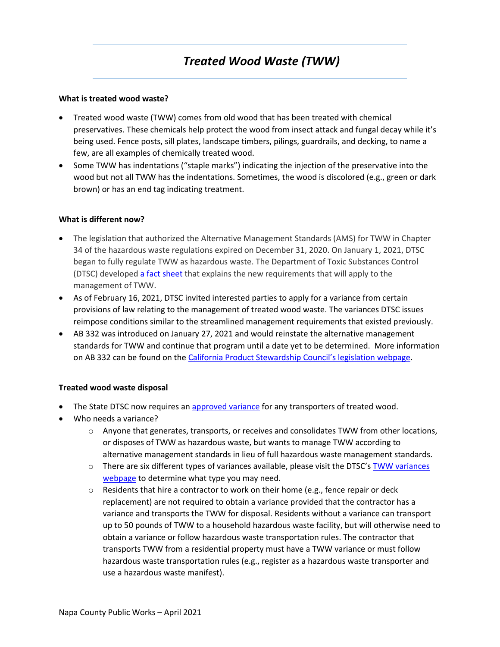## *Treated Wood Waste (TWW)*

#### **What is treated wood waste?**

- Treated wood waste (TWW) comes from old wood that has been treated with chemical preservatives. These chemicals help protect the wood from insect attack and fungal decay while it's being used. Fence posts, sill plates, landscape timbers, pilings, guardrails, and decking, to name a few, are all examples of chemically treated wood.
- Some TWW has indentations ("staple marks") indicating the injection of the preservative into the wood but not all TWW has the indentations. Sometimes, the wood is discolored (e.g., green or dark brown) or has an end tag indicating treatment.

#### **What is different now?**

- The legislation that authorized the Alternative Management Standards (AMS) for TWW in Chapter 34 of the hazardous waste regulations expired on December 31, 2020. On January 1, 2021, DTSC began to fully regulate TWW as hazardous waste. The Department of Toxic Substances Control (DTSC) developed a [fact sheet](https://dtsc.ca.gov/wp-content/uploads/sites/31/2020/12/2020-Treated-Wood-Waste-Factsheet-Update.pdf) that explains the new requirements that will apply to the management of TWW.
- As of February 16, 2021, DTSC invited interested parties to apply for a variance from certain provisions of law relating to the management of treated wood waste. The variances DTSC issues reimpose conditions similar to the streamlined management requirements that existed previously.
- AB 332 was introduced on January 27, 2021 and would reinstate the alternative management standards for TWW and continue that program until a date yet to be determined. More information on AB 332 can be found on th[e California Product Stewardship Council's legislation webpage.](https://www.calpsc.org/legislation)

### **Treated wood waste disposal**

- The State DTSC now requires an [approved variance](https://dtsc.ca.gov/treated-wood-waste-variances/) for any transporters of treated wood.
- Who needs a variance?
	- o Anyone that generates, transports, or receives and consolidates TWW from other locations, or disposes of TWW as hazardous waste, but wants to manage TWW according to alternative management standards in lieu of full hazardous waste management standards.
	- $\circ$  There are six different types of variances available, please visit the DTSC's TWW variances [webpage](https://dtsc.ca.gov/treated-wood-waste-variances/) to determine what type you may need.
	- o Residents that hire a contractor to work on their home (e.g., fence repair or deck replacement) are not required to obtain a variance provided that the contractor has a variance and transports the TWW for disposal. Residents without a variance can transport up to 50 pounds of TWW to a household hazardous waste facility, but will otherwise need to obtain a variance or follow hazardous waste transportation rules. The contractor that transports TWW from a residential property must have a TWW variance or must follow hazardous waste transportation rules (e.g., register as a hazardous waste transporter and use a hazardous waste manifest).